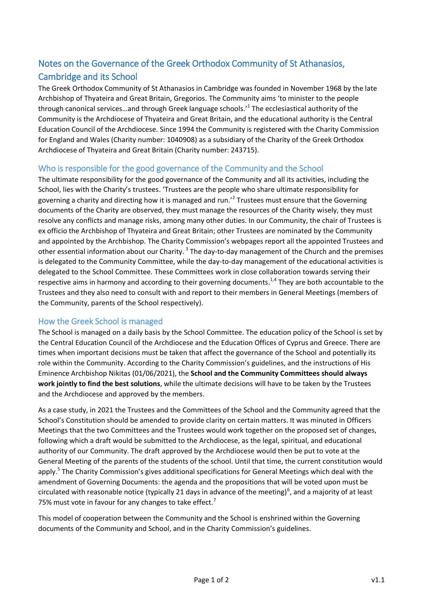## Notes on the Governance of the Greek Orthodox Community of St Athanasios, Cambridge and its School

The Greek Orthodox Community of St Athanasios in Cambridge was founded in November 1968 by the late Archbishop of Thyateira and Great Britain, Gregorios. The Community aims 'to minister to the people through canonical services...and through Greek language schools.<sup>,1</sup> The ecclesiastical authority of the Community is the Archdiocese of Thyateira and Great Britain, and the educational authority is the Central Education Council of the Archdiocese. Since 1994 the Community is registered with the Charity Commission for England and Wales (Charity number: 1040908) as a subsidiary of the Charity of the Greek Orthodox Archdiocese of Thyateira and Great Britain (Charity number: 243715).

## Who is responsible for the good governance of the Community and the School

The ultimate responsibility for the good governance of the Community and all its activities, including the School, lies with the Charity's trustees. 'Trustees are the people who share ultimate responsibility for governing a charity and directing how it is managed and run.<sup>2</sup> Trustees must ensure that the Governing documents of the Charity are observed, they must manage the resources of the Charity wisely, they must resolve any conflicts and manage risks, among many other duties. In our Community, the chair of Trustees is ex officio the Archbishop of Thyateira and Great Britain; other Trustees are nominated by the Community and appointed by the Archbishop. The Charity Commission's webpages report all the appointed Trustees and other essential information about our Charity. <sup>3</sup> The day-to-day management of the Church and the premises is delegated to the Community Committee, while the day-to-day management of the educational activities is delegated to the School Committee. These Committees work in close collaboration towards serving their respective aims in harmony and according to their governing documents.<sup>1,4</sup> They are both accountable to the Trustees and they also need to consult with and report to their members in General Meetings (members of the Community, parents of the School respectively).

## How the Greek School is managed

The School is managed on a daily basis by the School Committee. The education policy of the School is set by the Central Education Council of the Archdiocese and the Education Offices of Cyprus and Greece. There are times when important decisions must be taken that affect the governance of the School and potentially its role within the Community. According to the Charity Commission's guidelines, and the instructions of His Eminence Archbishop Nikitas (01/06/2021), the **School and the Community Committees should always work jointly to find the best solutions**, while the ultimate decisions will have to be taken by the Trustees and the Archdiocese and approved by the members.

As a case study, in 2021 the Trustees and the Committees of the School and the Community agreed that the School's Constitution should be amended to provide clarity on certain matters. It was minuted in Officers Meetings that the two Committees and the Trustees would work together on the proposed set of changes, following which a draft would be submitted to the Archdiocese, as the legal, spiritual, and educational authority of our Community. The draft approved by the Archdiocese would then be put to vote at the General Meeting of the parents of the students of the school. Until that time, the current constitution would apply.<sup>5</sup> The Charity Commission's gives additional specifications for General Meetings which deal with the amendment of Governing Documents: the agenda and the propositions that will be voted upon must be circulated with reasonable notice (typically 21 days in advance of the meeting)<sup>6</sup>, and a majority of at least 75% must vote in favour for any changes to take effect.<sup>7</sup>

This model of cooperation between the Community and the School is enshrined within the Governing documents of the Community and School, and in the Charity Commission's guidelines.